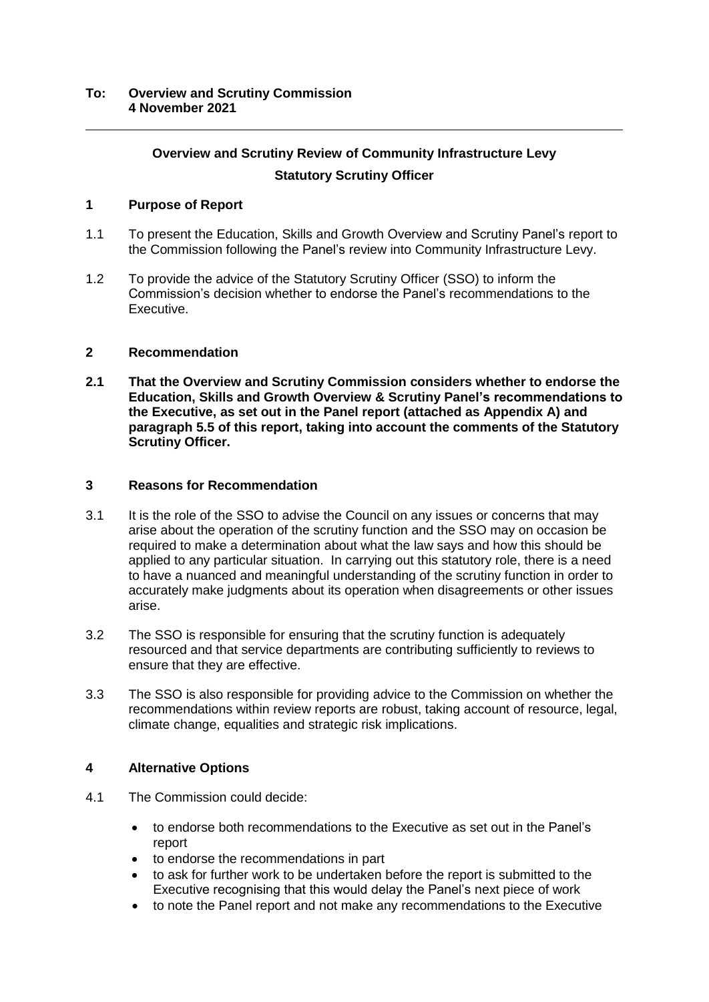# **Overview and Scrutiny Review of Community Infrastructure Levy Statutory Scrutiny Officer**

## **1 Purpose of Report**

- 1.1 To present the Education, Skills and Growth Overview and Scrutiny Panel's report to the Commission following the Panel's review into Community Infrastructure Levy.
- 1.2 To provide the advice of the Statutory Scrutiny Officer (SSO) to inform the Commission's decision whether to endorse the Panel's recommendations to the Executive.

## **2 Recommendation**

**2.1 That the Overview and Scrutiny Commission considers whether to endorse the Education, Skills and Growth Overview & Scrutiny Panel's recommendations to the Executive, as set out in the Panel report (attached as Appendix A) and paragraph 5.5 of this report, taking into account the comments of the Statutory Scrutiny Officer.**

## **3 Reasons for Recommendation**

- 3.1 It is the role of the SSO to advise the Council on any issues or concerns that may arise about the operation of the scrutiny function and the SSO may on occasion be required to make a determination about what the law says and how this should be applied to any particular situation. In carrying out this statutory role, there is a need to have a nuanced and meaningful understanding of the scrutiny function in order to accurately make judgments about its operation when disagreements or other issues arise.
- 3.2 The SSO is responsible for ensuring that the scrutiny function is adequately resourced and that service departments are contributing sufficiently to reviews to ensure that they are effective.
- 3.3 The SSO is also responsible for providing advice to the Commission on whether the recommendations within review reports are robust, taking account of resource, legal, climate change, equalities and strategic risk implications.

## **4 Alternative Options**

- 4.1 The Commission could decide:
	- to endorse both recommendations to the Executive as set out in the Panel's report
	- to endorse the recommendations in part
	- to ask for further work to be undertaken before the report is submitted to the Executive recognising that this would delay the Panel's next piece of work
	- to note the Panel report and not make any recommendations to the Executive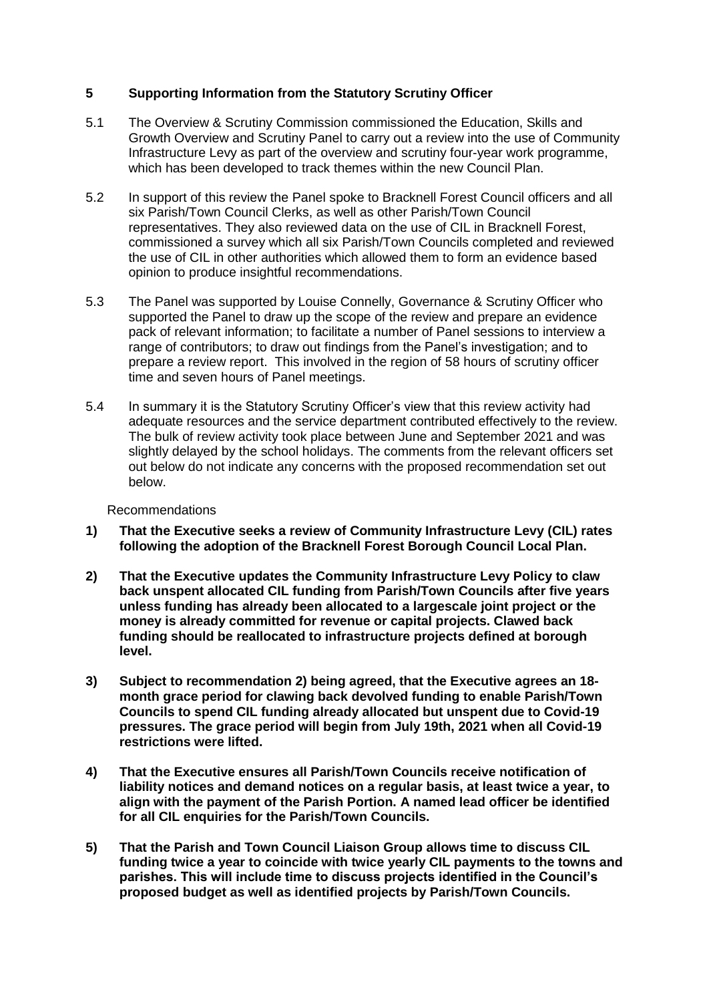## **5 Supporting Information from the Statutory Scrutiny Officer**

- 5.1 The Overview & Scrutiny Commission commissioned the Education, Skills and Growth Overview and Scrutiny Panel to carry out a review into the use of Community Infrastructure Levy as part of the overview and scrutiny four-year work programme, which has been developed to track themes within the new Council Plan.
- 5.2 In support of this review the Panel spoke to Bracknell Forest Council officers and all six Parish/Town Council Clerks, as well as other Parish/Town Council representatives. They also reviewed data on the use of CIL in Bracknell Forest, commissioned a survey which all six Parish/Town Councils completed and reviewed the use of CIL in other authorities which allowed them to form an evidence based opinion to produce insightful recommendations.
- 5.3 The Panel was supported by Louise Connelly, Governance & Scrutiny Officer who supported the Panel to draw up the scope of the review and prepare an evidence pack of relevant information; to facilitate a number of Panel sessions to interview a range of contributors; to draw out findings from the Panel's investigation; and to prepare a review report. This involved in the region of 58 hours of scrutiny officer time and seven hours of Panel meetings.
- 5.4 In summary it is the Statutory Scrutiny Officer's view that this review activity had adequate resources and the service department contributed effectively to the review. The bulk of review activity took place between June and September 2021 and was slightly delayed by the school holidays. The comments from the relevant officers set out below do not indicate any concerns with the proposed recommendation set out below.

## Recommendations

- **1) That the Executive seeks a review of Community Infrastructure Levy (CIL) rates following the adoption of the Bracknell Forest Borough Council Local Plan.**
- **2) That the Executive updates the Community Infrastructure Levy Policy to claw back unspent allocated CIL funding from Parish/Town Councils after five years unless funding has already been allocated to a largescale joint project or the money is already committed for revenue or capital projects. Clawed back funding should be reallocated to infrastructure projects defined at borough level.**
- **3) Subject to recommendation 2) being agreed, that the Executive agrees an 18 month grace period for clawing back devolved funding to enable Parish/Town Councils to spend CIL funding already allocated but unspent due to Covid-19 pressures. The grace period will begin from July 19th, 2021 when all Covid-19 restrictions were lifted.**
- **4) That the Executive ensures all Parish/Town Councils receive notification of liability notices and demand notices on a regular basis, at least twice a year, to align with the payment of the Parish Portion. A named lead officer be identified for all CIL enquiries for the Parish/Town Councils.**
- **5) That the Parish and Town Council Liaison Group allows time to discuss CIL funding twice a year to coincide with twice yearly CIL payments to the towns and parishes. This will include time to discuss projects identified in the Council's proposed budget as well as identified projects by Parish/Town Councils.**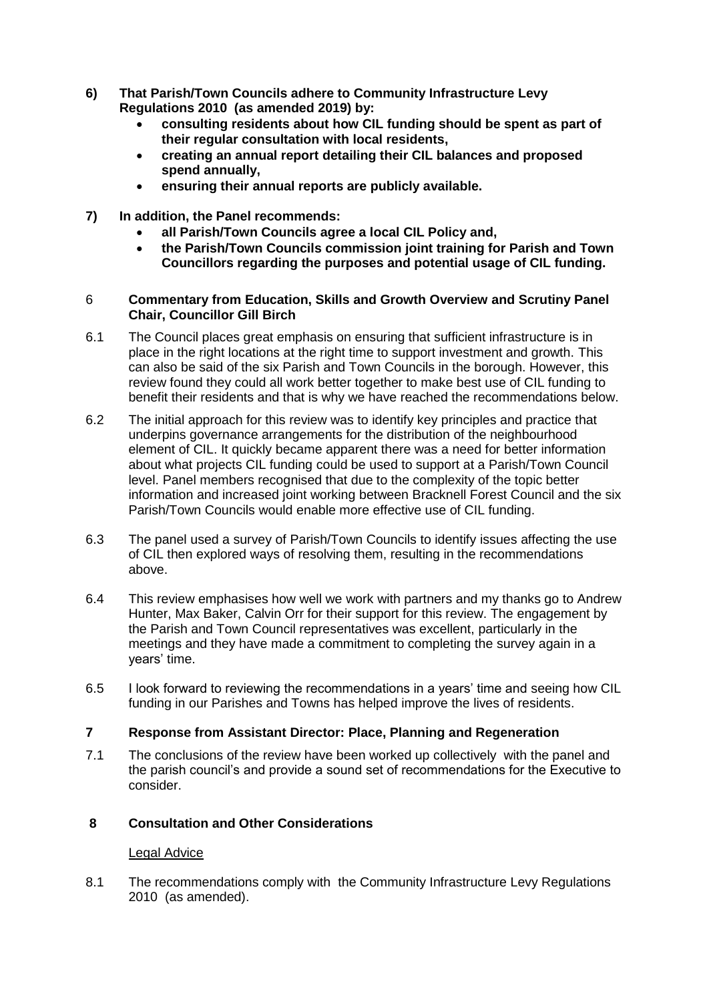- **6) That Parish/Town Councils adhere to Community Infrastructure Levy Regulations 2010 (as amended 2019) by:**
	- **consulting residents about how CIL funding should be spent as part of their regular consultation with local residents,**
	- **creating an annual report detailing their CIL balances and proposed spend annually,**
	- **ensuring their annual reports are publicly available.**
- **7) In addition, the Panel recommends:**
	- **all Parish/Town Councils agree a local CIL Policy and,**
	- **the Parish/Town Councils commission joint training for Parish and Town Councillors regarding the purposes and potential usage of CIL funding.**

#### 6 **Commentary from Education, Skills and Growth Overview and Scrutiny Panel Chair, Councillor Gill Birch**

- 6.1 The Council places great emphasis on ensuring that sufficient infrastructure is in place in the right locations at the right time to support investment and growth. This can also be said of the six Parish and Town Councils in the borough. However, this review found they could all work better together to make best use of CIL funding to benefit their residents and that is why we have reached the recommendations below.
- 6.2 The initial approach for this review was to identify key principles and practice that underpins governance arrangements for the distribution of the neighbourhood element of CIL. It quickly became apparent there was a need for better information about what projects CIL funding could be used to support at a Parish/Town Council level. Panel members recognised that due to the complexity of the topic better information and increased joint working between Bracknell Forest Council and the six Parish/Town Councils would enable more effective use of CIL funding.
- 6.3 The panel used a survey of Parish/Town Councils to identify issues affecting the use of CIL then explored ways of resolving them, resulting in the recommendations above.
- 6.4 This review emphasises how well we work with partners and my thanks go to Andrew Hunter, Max Baker, Calvin Orr for their support for this review. The engagement by the Parish and Town Council representatives was excellent, particularly in the meetings and they have made a commitment to completing the survey again in a years' time.
- 6.5 I look forward to reviewing the recommendations in a years' time and seeing how CIL funding in our Parishes and Towns has helped improve the lives of residents.

## **7 Response from Assistant Director: Place, Planning and Regeneration**

7.1 The conclusions of the review have been worked up collectively with the panel and the parish council's and provide a sound set of recommendations for the Executive to consider.

## **8 Consultation and Other Considerations**

## Legal Advice

8.1 The recommendations comply with the Community Infrastructure Levy Regulations 2010 (as amended).